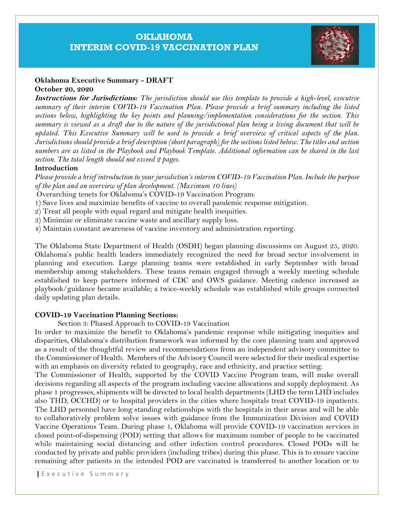# **OKLAHOMA INTERIM COVID-19 VACCINATION PLAN**



### **Oklahoma Executive Summary - DRAFT October 20, 2020**

**Instructions for Jurisdictions:** *The jurisdiction should use this template to provide a high-level, executive summary of their interim COVID-19 Vaccination Plan. Please provide a brief summary including the listed sections below, highlighting the key points and planning/implementation considerations for the section. This summary is viewed as a draft due to the nature of the jurisdictional plan being a living document that will be updated. This Executive Summary will be used to provide a brief overview of critical aspects of the plan. Jurisdictions should provide a brief description (short paragraph) for the sections listed below. The titles and section numbers are as listed in the Playbook and Playbook Template. Additional information can be shared in the last section. The total length should not exceed 2 pages.*

#### **Introduction**

*Please provide a brief introduction to your jurisdiction's interim COVID-19 Vaccination Plan. Include the purpose of the plan and an overview of plan development. (Maximum 10 lines)*

Overarching tenets for Oklahoma's COVID-19 Vaccination Program:

- 1) Save lives and maximize benefits of vaccine to overall pandemic response mitigation.
- 2) Treat all people with equal regard and mitigate health inequities.
- 3) Minimize or eliminate vaccine waste and ancillary supply loss.
- 4) Maintain constant awareness of vaccine inventory and administration reporting.

The Oklahoma State Department of Health (OSDH) began planning discussions on August 25, 2020. Oklahoma's public health leaders immediately recognized the need for broad sector involvement in planning and execution. Large planning teams were established in early September with broad membership among stakeholders. These teams remain engaged through a weekly meeting schedule established to keep partners informed of CDC and OWS guidance. Meeting cadence increased as playbook/guidance became available; a twice-weekly schedule was established while groups connected daily updating plan details.

### **COVID-19 Vaccination Planning Sections:**

Section 3: Phased Approach to COVID-19 Vaccination

In order to maximize the benefit to Oklahoma's pandemic response while mitigating inequities and disparities, Oklahoma's distribution framework was informed by the core planning team and approved as a result of the thoughtful review and recommendations from an independent advisory committee to the Commissioner of Health. Members of the Advisory Council were selected for their medical expertise with an emphasis on diversity related to geography, race and ethnicity, and practice setting.

The Commissioner of Health, supported by the COVID Vaccine Program team, will make overall decisions regarding all aspects of the program including vaccine allocations and supply deployment. As phase 1 progresses, shipments will be directed to local health departments (LHD the term LHD includes also THD, OCCHD) or to hospital providers in the cities where hospitals treat COVID-19 inpatients. The LHD personnel have long standing relationships with the hospitals in their areas and will be able to collaboratively problem solve issues with guidance from the Immunization Division and COVID Vaccine Operations Team. During phase 1, Oklahoma will provide COVID-19 vaccination services in closed point-of-dispensing (POD) setting that allows for maximum number of people to be vaccinated while maintaining social distancing and other infection control procedures. Closed PODs will be conducted by private and public providers (including tribes) during this phase. This is to ensure vaccine remaining after patients in the intended POD are vaccinated is transferred to another location or to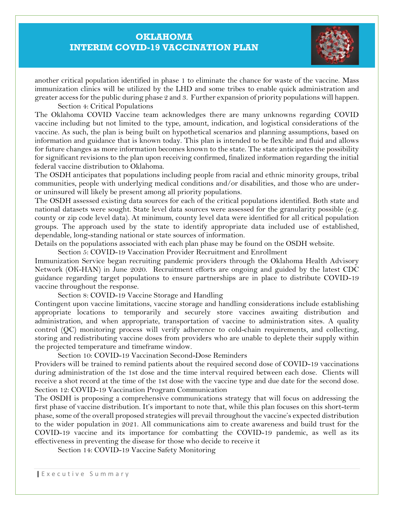## **OKLAHOMA INTERIM COVID-19 VACCINATION PLAN**



another critical population identified in phase 1 to eliminate the chance for waste of the vaccine. Mass immunization clinics will be utilized by the LHD and some tribes to enable quick administration and greater access for the public during phase 2 and 3. Further expansion of priority populations will happen.

Section 4: Critical Populations

The Oklahoma COVID Vaccine team acknowledges there are many unknowns regarding COVID vaccine including but not limited to the type, amount, indication, and logistical considerations of the vaccine. As such, the plan is being built on hypothetical scenarios and planning assumptions, based on information and guidance that is known today. This plan is intended to be flexible and fluid and allows for future changes as more information becomes known to the state. The state anticipates the possibility for significant revisions to the plan upon receiving confirmed, finalized information regarding the initial federal vaccine distribution to Oklahoma.

The OSDH anticipates that populations including people from racial and ethnic minority groups, tribal communities, people with underlying medical conditions and/or disabilities, and those who are underor uninsured will likely be present among all priority populations.

The OSDH assessed existing data sources for each of the critical populations identified. Both state and national datasets were sought. State level data sources were assessed for the granularity possible (e.g. county or zip code level data). At minimum, county level data were identified for all critical population groups. The approach used by the state to identify appropriate data included use of established, dependable, long-standing national or state sources of information.

Details on the populations associated with each plan phase may be found on the OSDH website.

Section 5: COVID-19 Vaccination Provider Recruitment and Enrollment

Immunization Service began recruiting pandemic providers through the Oklahoma Health Advisory Network (OK-HAN) in June 2020. Recruitment efforts are ongoing and guided by the latest CDC guidance regarding target populations to ensure partnerships are in place to distribute COVID-19 vaccine throughout the response.

Section 8: COVID-19 Vaccine Storage and Handling

Contingent upon vaccine limitations, vaccine storage and handling considerations include establishing appropriate locations to temporarily and securely store vaccines awaiting distribution and administration, and when appropriate, transportation of vaccine to administration sites. A quality control (QC) monitoring process will verify adherence to cold-chain requirements, and collecting, storing and redistributing vaccine doses from providers who are unable to deplete their supply within the projected temperature and timeframe window.

Section 10: COVID-19 Vaccination Second-Dose Reminders

Providers will be trained to remind patients about the required second dose of COVID-19 vaccinations during administration of the 1st dose and the time interval required between each dose. Clients will receive a shot record at the time of the 1st dose with the vaccine type and due date for the second dose. Section 12: COVID-19 Vaccination Program Communication

The OSDH is proposing a comprehensive communications strategy that will focus on addressing the first phase of vaccine distribution. It's important to note that, while this plan focuses on this short-term phase, some of the overall proposed strategies will prevail throughout the vaccine's expected distribution to the wider population in 2021. All communications aim to create awareness and build trust for the COVID-19 vaccine and its importance for combatting the COVID-19 pandemic, as well as its effectiveness in preventing the disease for those who decide to receive it

Section 14: COVID-19 Vaccine Safety Monitoring